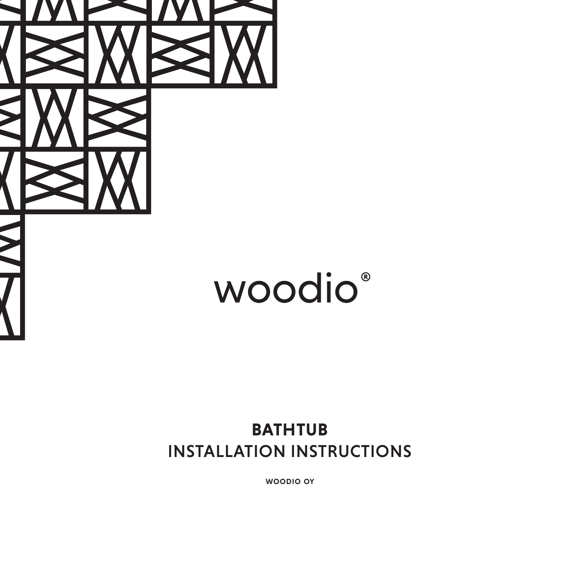

# woodio®

### **BATHTUB** INSTALLATION INSTRUCTIONS

woodio oy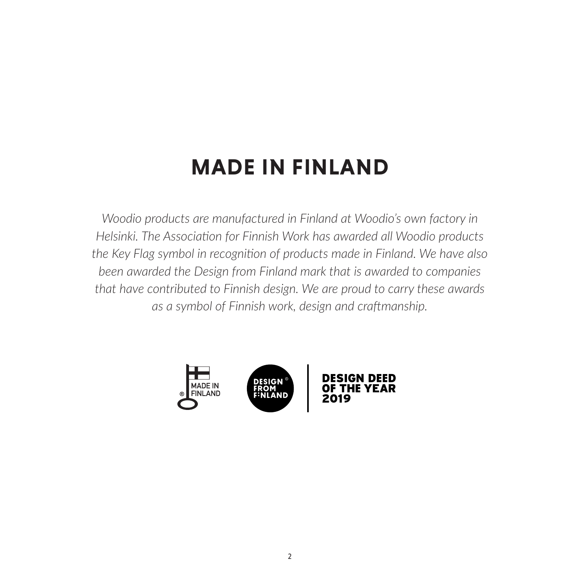# **MADE IN FINLAND**

*Woodio products are manufactured in Finland at Woodio's own factory in Helsinki. The Association for Finnish Work has awarded all Woodio products the Key Flag symbol in recognition of products made in Finland. We have also been awarded the Design from Finland mark that is awarded to companies that have contributed to Finnish design. We are proud to carry these awards as a symbol of Finnish work, design and craftmanship.*

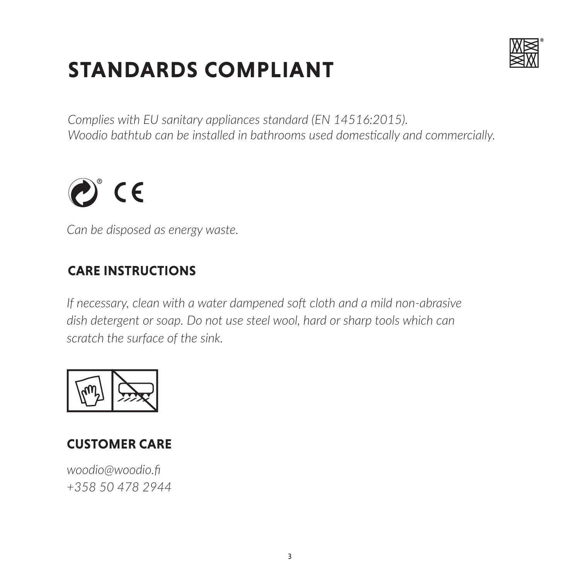# **STANDARDS COMPLIANT**



*Complies with EU sanitary appliances standard (EN 14516:2015). Woodio bathtub can be installed in bathrooms used domestically and commercially.*



*Can be disposed as energy waste.*

#### **CARE INSTRUCTIONS**

*If necessary, clean with a water dampened soft cloth and a mild non-abrasive dish detergent or soap. Do not use steel wool, hard or sharp tools which can scratch the surface of the sink.*



### **CUSTOMER CARE**

*woodio@woodio.fi +358 50 478 2944*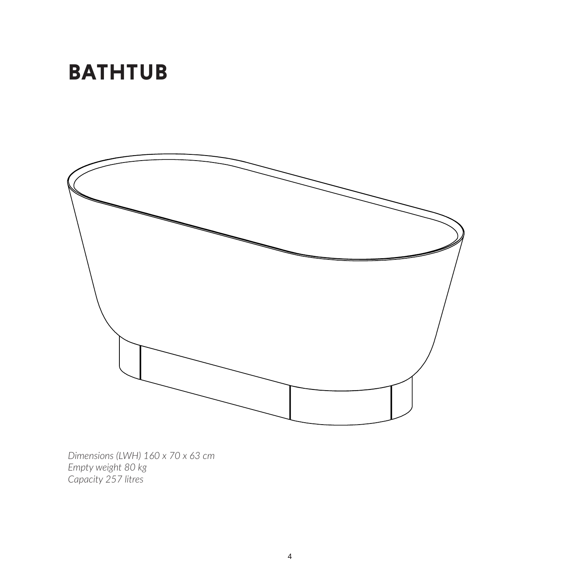## **BATHTUB**



*Dimensions (LWH) 160 x 70 x 63 cm Empty weight 80 kg Capacity 257 litres*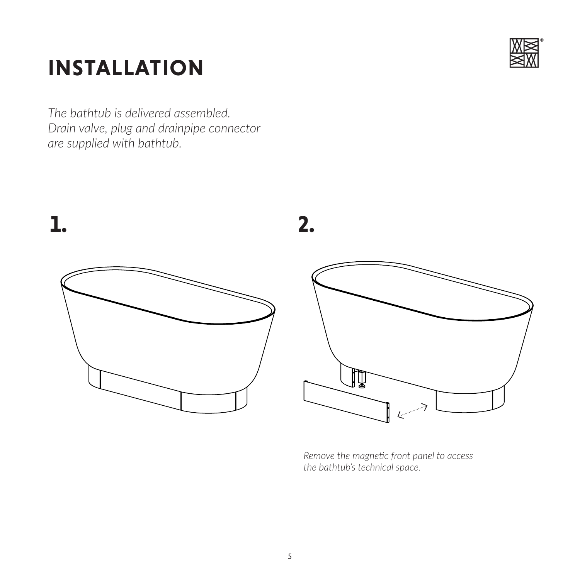# **INSTALLATION**

*The bathtub is delivered assembled. Drain valve, plug and drainpipe connector are supplied with bathtub.*





*Remove the magnetic front panel to access the bathtub's technical space.*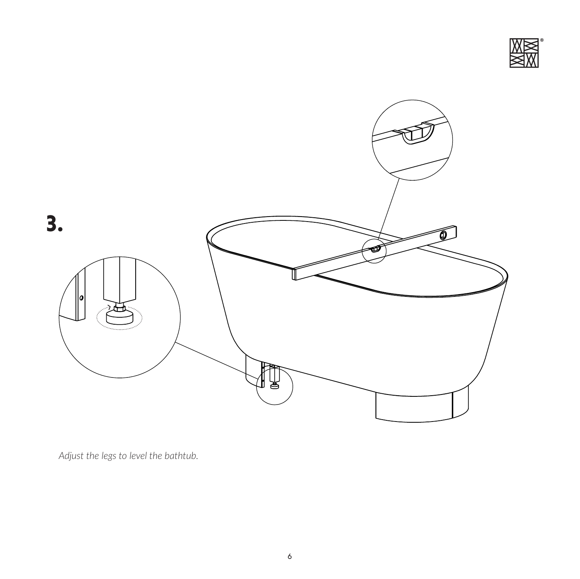



*Adjust the legs to level the bathtub.*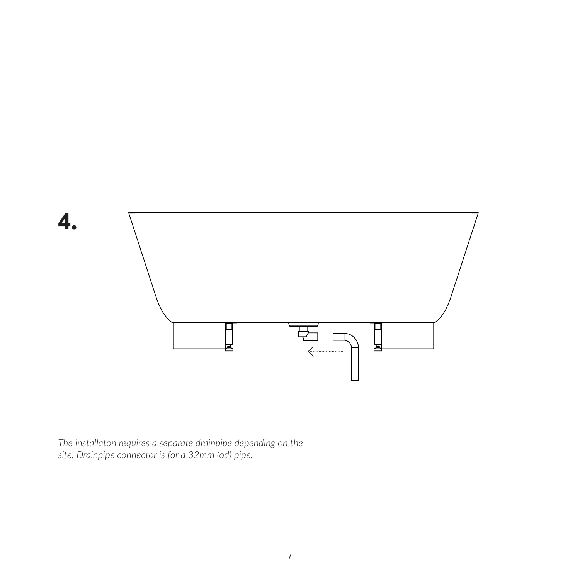

*The installaton requires a separate drainpipe depending on the site. Drainpipe connector is for a 32mm (od) pipe.*